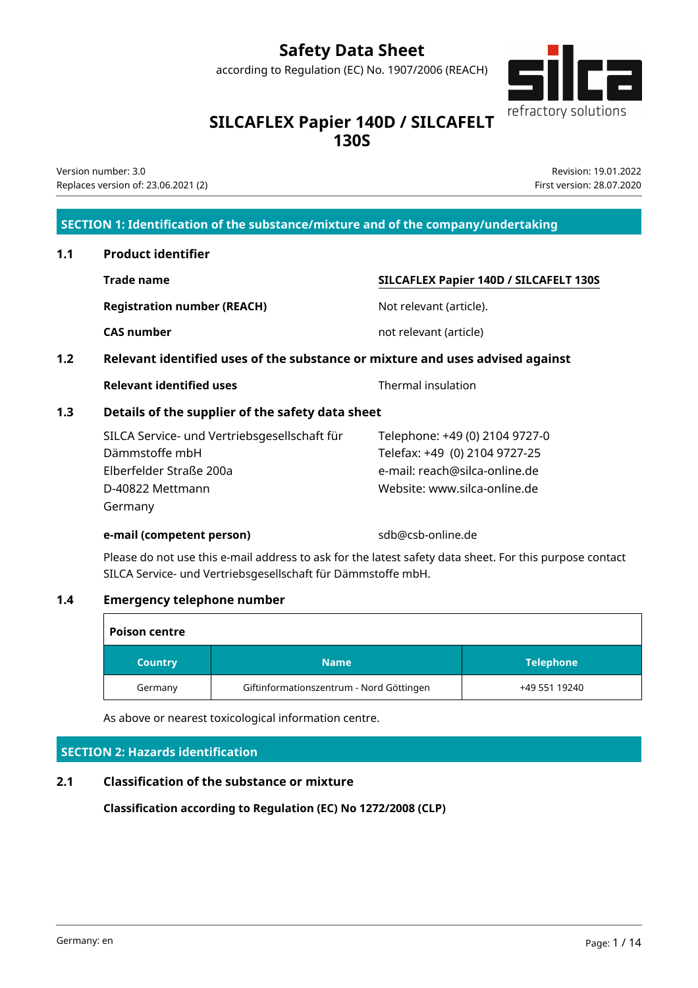# **Safety Data Sheet**

according to Regulation (EC) No. 1907/2006 (REACH)



# **SILCAFLEX Papier 140D / SILCAFELT 130S**

Version number: 3.0 Replaces version of: 23.06.2021 (2)

Revision: 19.01.2022 First version: 28.07.2020

### **SECTION 1: Identification of the substance/mixture and of the company/undertaking**

# **1.1 Product identifier**

**Registration number (REACH)** Not relevant (article).

# **SILCAFLEX Papier 140D / SILCAFELT 130S**

**CAS number CAS number CAS number not relevant (article)** 

# **1.2 Relevant identified uses of the substance or mixture and uses advised against**

| Relevant identified uses |
|--------------------------|
|--------------------------|

**Thermal insulation** 

# **1.3 Details of the supplier of the safety data sheet**

| SILCA Service- und Vertriebsgesellschaft für | Telephone: +49 (0) 2104 9727-0 |
|----------------------------------------------|--------------------------------|
| Dämmstoffe mbH                               | Telefax: +49 (0) 2104 9727-25  |
| Elberfelder Straße 200a                      | e-mail: reach@silca-online.de  |
| D-40822 Mettmann                             | Website: www.silca-online.de   |
| Germany                                      |                                |

#### **e-mail (competent person)** sdb@csb-online.de

Please do not use this e-mail address to ask for the latest safety data sheet. For this purpose contact SILCA Service- und Vertriebsgesellschaft für Dämmstoffe mbH.

### **1.4 Emergency telephone number**

| <b>Poison centre</b> |                                          |                  |
|----------------------|------------------------------------------|------------------|
| <b>Country</b>       | <b>Name</b>                              | <b>Telephone</b> |
| Germany              | Giftinformationszentrum - Nord Göttingen | +49 551 19240    |

As above or nearest toxicological information centre.

### **SECTION 2: Hazards identification**

# **2.1 Classification of the substance or mixture**

**Classification according to Regulation (EC) No 1272/2008 (CLP)**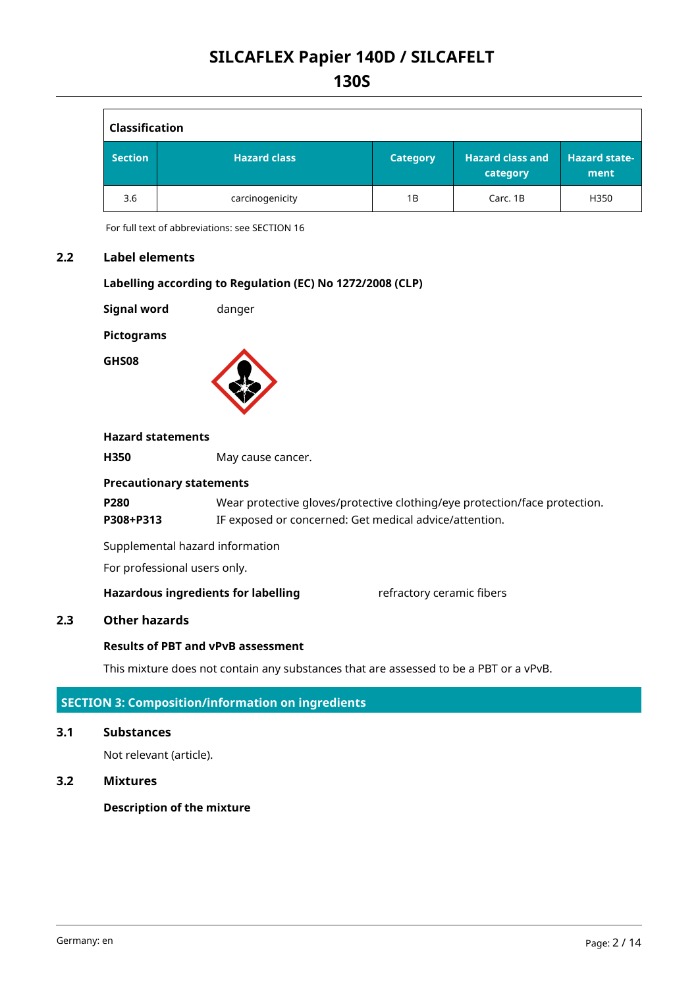| <b>Classification</b> |                     |                 |                                     |                              |
|-----------------------|---------------------|-----------------|-------------------------------------|------------------------------|
| <b>Section</b>        | <b>Hazard class</b> | <b>Category</b> | <b>Hazard class and</b><br>category | <b>Hazard state-</b><br>ment |
| 3.6                   | carcinogenicity     | 1B              | Carc. 1B                            | H350                         |

For full text of abbreviations: see SECTION 16

#### **2.2 Label elements**

#### **Labelling according to Regulation (EC) No 1272/2008 (CLP)**

**Signal word** danger

**Pictograms**

**GHS08**



#### **Hazard statements**

**H350** May cause cancer.

#### **Precautionary statements**

**P280** Wear protective gloves/protective clothing/eye protection/face protection. **P308+P313** IF exposed or concerned: Get medical advice/attention.

Supplemental hazard information

For professional users only.

**Hazardous ingredients for labelling** refractory ceramic fibers

#### **2.3 Other hazards**

### **Results of PBT and vPvB assessment**

This mixture does not contain any substances that are assessed to be a PBT or a vPvB.

#### **SECTION 3: Composition/information on ingredients**

#### **3.1 Substances**

Not relevant (article).

#### **3.2 Mixtures**

#### **Description of the mixture**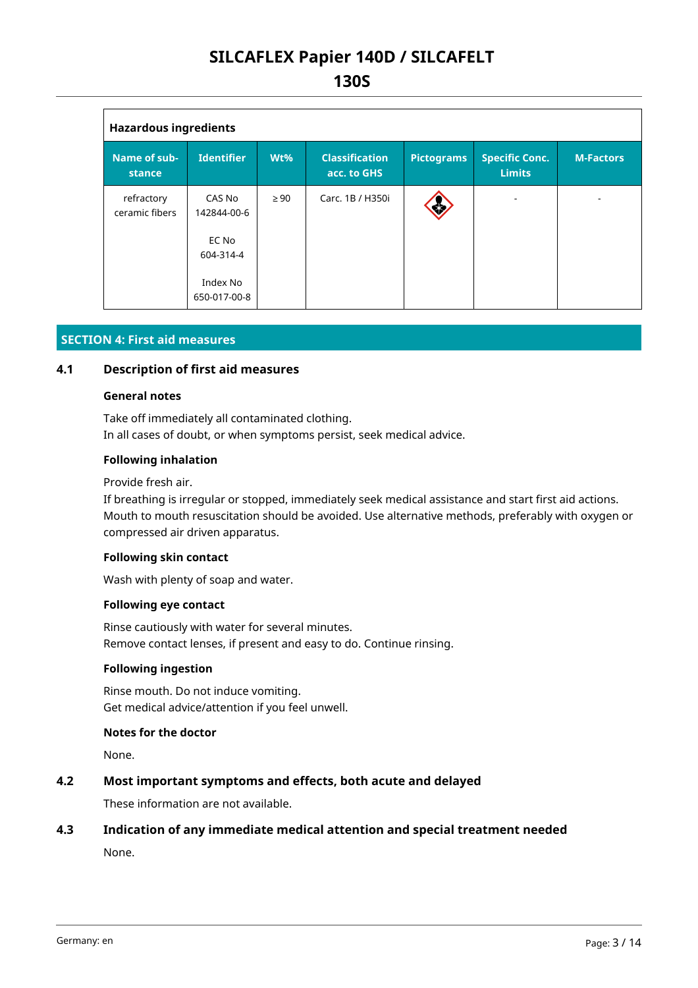| <b>Hazardous ingredients</b>  |                          |           |                                      |                   |                                        |                  |  |
|-------------------------------|--------------------------|-----------|--------------------------------------|-------------------|----------------------------------------|------------------|--|
| <b>Name of sub-</b><br>stance | <b>Identifier</b>        | $Wt\%$    | <b>Classification</b><br>acc. to GHS | <b>Pictograms</b> | <b>Specific Conc.</b><br><b>Limits</b> | <b>M-Factors</b> |  |
| refractory<br>ceramic fibers  | CAS No<br>142844-00-6    | $\geq 90$ | Carc. 1B / H350i                     | Ś                 |                                        |                  |  |
|                               | EC No<br>604-314-4       |           |                                      |                   |                                        |                  |  |
|                               | Index No<br>650-017-00-8 |           |                                      |                   |                                        |                  |  |

#### **SECTION 4: First aid measures**

#### **4.1 Description of first aid measures**

#### **General notes**

Take off immediately all contaminated clothing. In all cases of doubt, or when symptoms persist, seek medical advice.

#### **Following inhalation**

Provide fresh air.

If breathing is irregular or stopped, immediately seek medical assistance and start first aid actions. Mouth to mouth resuscitation should be avoided. Use alternative methods, preferably with oxygen or compressed air driven apparatus.

#### **Following skin contact**

Wash with plenty of soap and water.

#### **Following eye contact**

Rinse cautiously with water for several minutes. Remove contact lenses, if present and easy to do. Continue rinsing.

#### **Following ingestion**

Rinse mouth. Do not induce vomiting. Get medical advice/attention if you feel unwell.

#### **Notes for the doctor**

None.

#### **4.2 Most important symptoms and effects, both acute and delayed**

These information are not available.

#### **4.3 Indication of any immediate medical attention and special treatment needed**

None.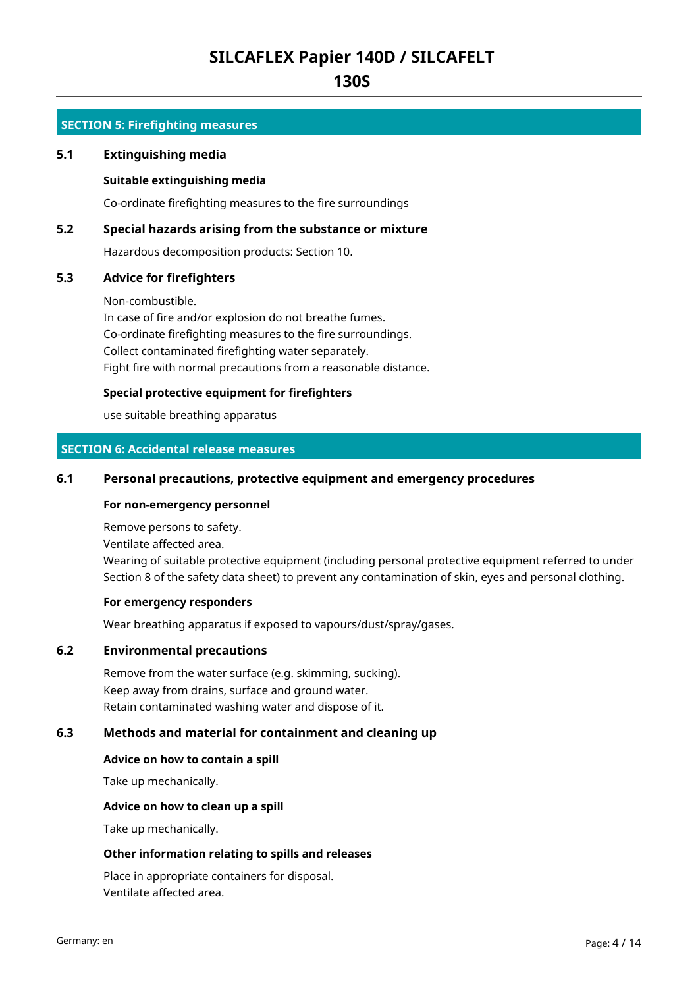# **130S**

#### **SECTION 5: Firefighting measures**

#### **5.1 Extinguishing media**

#### **Suitable extinguishing media**

Co-ordinate firefighting measures to the fire surroundings

#### **5.2 Special hazards arising from the substance or mixture**

Hazardous decomposition products: Section 10.

#### **5.3 Advice for firefighters**

Non-combustible.

In case of fire and/or explosion do not breathe fumes. Co-ordinate firefighting measures to the fire surroundings. Collect contaminated firefighting water separately. Fight fire with normal precautions from a reasonable distance.

#### **Special protective equipment for firefighters**

use suitable breathing apparatus

#### **SECTION 6: Accidental release measures**

#### **6.1 Personal precautions, protective equipment and emergency procedures**

#### **For non-emergency personnel**

Remove persons to safety.

Ventilate affected area.

Wearing of suitable protective equipment (including personal protective equipment referred to under Section 8 of the safety data sheet) to prevent any contamination of skin, eyes and personal clothing.

#### **For emergency responders**

Wear breathing apparatus if exposed to vapours/dust/spray/gases.

#### **6.2 Environmental precautions**

Remove from the water surface (e.g. skimming, sucking). Keep away from drains, surface and ground water. Retain contaminated washing water and dispose of it.

#### **6.3 Methods and material for containment and cleaning up**

#### **Advice on how to contain a spill**

Take up mechanically.

#### **Advice on how to clean up a spill**

Take up mechanically.

#### **Other information relating to spills and releases**

Place in appropriate containers for disposal. Ventilate affected area.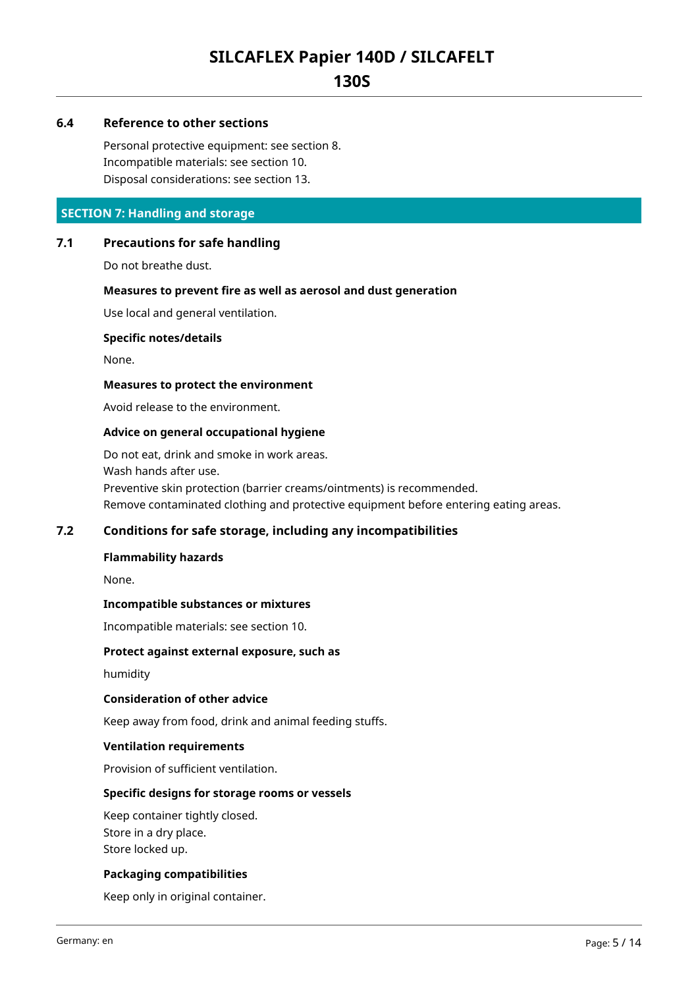# **130S**

#### **6.4 Reference to other sections**

Personal protective equipment: see section 8. Incompatible materials: see section 10. Disposal considerations: see section 13.

#### **SECTION 7: Handling and storage**

#### **7.1 Precautions for safe handling**

Do not breathe dust.

#### **Measures to prevent fire as well as aerosol and dust generation**

Use local and general ventilation.

#### **Specific notes/details**

None.

#### **Measures to protect the environment**

Avoid release to the environment.

#### **Advice on general occupational hygiene**

Do not eat, drink and smoke in work areas. Wash hands after use. Preventive skin protection (barrier creams/ointments) is recommended. Remove contaminated clothing and protective equipment before entering eating areas.

#### **7.2 Conditions for safe storage, including any incompatibilities**

#### **Flammability hazards**

None.

#### **Incompatible substances or mixtures**

Incompatible materials: see section 10.

#### **Protect against external exposure, such as**

humidity

#### **Consideration of other advice**

Keep away from food, drink and animal feeding stuffs.

#### **Ventilation requirements**

Provision of sufficient ventilation.

#### **Specific designs for storage rooms or vessels**

Keep container tightly closed. Store in a dry place. Store locked up.

#### **Packaging compatibilities**

Keep only in original container.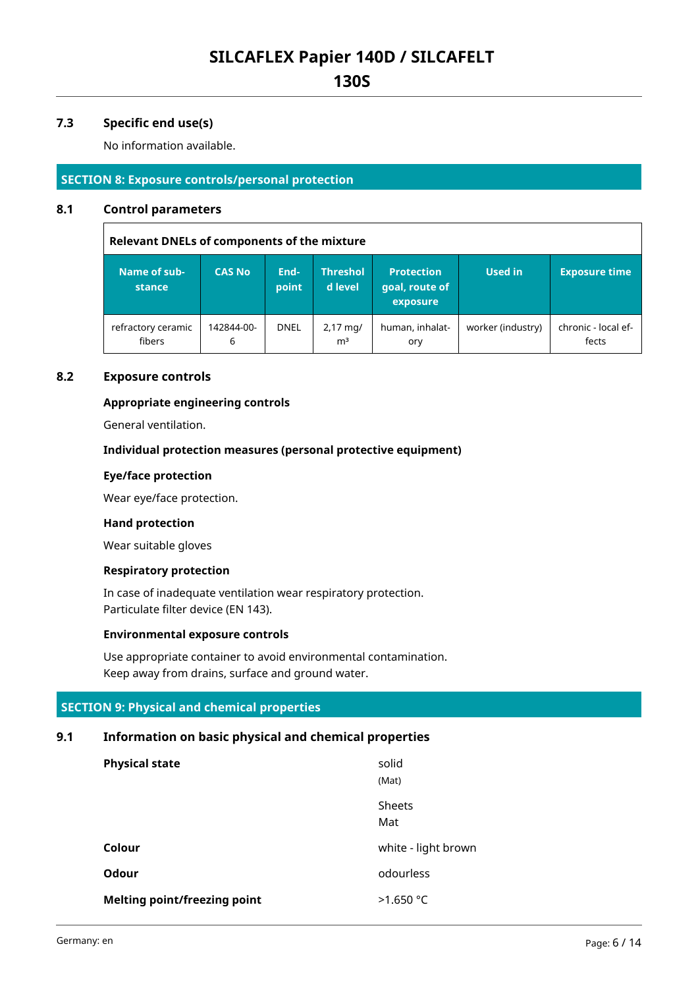**130S**

#### **7.3 Specific end use(s)**

No information available.

#### **SECTION 8: Exposure controls/personal protection**

#### **8.1 Control parameters**

**Relevant DNELs of components of the mixture Name of substance CAS No Endpoint Threshol d level Protection goal, route of exposure Used in Exposure time** refractory ceramic fibers 142844-00- 6 DNEL  $\Big| 2,17 \text{ mg/}$  $m<sup>3</sup>$ human, inhalatory worker (industry)  $\vert$  chronic - local effects

#### **8.2 Exposure controls**

#### **Appropriate engineering controls**

General ventilation.

#### **Individual protection measures (personal protective equipment)**

#### **Eye/face protection**

Wear eye/face protection.

#### **Hand protection**

Wear suitable gloves

#### **Respiratory protection**

In case of inadequate ventilation wear respiratory protection. Particulate filter device (EN 143).

#### **Environmental exposure controls**

Use appropriate container to avoid environmental contamination. Keep away from drains, surface and ground water.

#### **SECTION 9: Physical and chemical properties**

### **9.1 Information on basic physical and chemical properties**

| <b>Physical state</b>               | solid<br>(Mat)      |
|-------------------------------------|---------------------|
|                                     | Sheets<br>Mat       |
| Colour                              | white - light brown |
| <b>Odour</b>                        | odourless           |
| <b>Melting point/freezing point</b> | >1.650 °C           |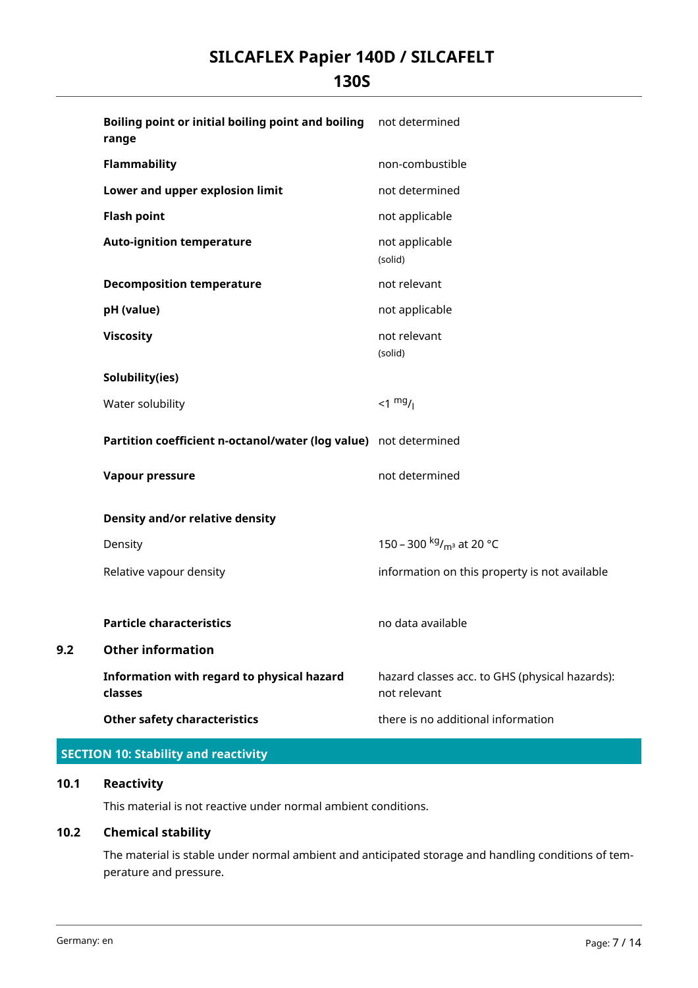# **130S**

|     | Boiling point or initial boiling point and boiling<br>range      | not determined                                                 |
|-----|------------------------------------------------------------------|----------------------------------------------------------------|
|     | Flammability                                                     | non-combustible                                                |
|     | Lower and upper explosion limit                                  | not determined                                                 |
|     | <b>Flash point</b>                                               | not applicable                                                 |
|     | <b>Auto-ignition temperature</b>                                 | not applicable<br>(solid)                                      |
|     | <b>Decomposition temperature</b>                                 | not relevant                                                   |
|     | pH (value)                                                       | not applicable                                                 |
|     | <b>Viscosity</b>                                                 | not relevant<br>(solid)                                        |
|     | Solubility(ies)                                                  |                                                                |
|     | Water solubility                                                 | $1$ mg/                                                        |
|     | Partition coefficient n-octanol/water (log value) not determined |                                                                |
|     | Vapour pressure                                                  | not determined                                                 |
|     | <b>Density and/or relative density</b>                           |                                                                |
|     | Density                                                          | 150 – 300 kg/ <sub>m<sup>3</sup></sub> at 20 °C                |
|     | Relative vapour density                                          | information on this property is not available                  |
|     | <b>Particle characteristics</b>                                  | no data available                                              |
| 9.2 | <b>Other information</b>                                         |                                                                |
|     | Information with regard to physical hazard<br>classes            | hazard classes acc. to GHS (physical hazards):<br>not relevant |
|     | <b>Other safety characteristics</b>                              | there is no additional information                             |

# **SECTION 10: Stability and reactivity**

#### **10.1 Reactivity**

This material is not reactive under normal ambient conditions.

# **10.2 Chemical stability**

The material is stable under normal ambient and anticipated storage and handling conditions of temperature and pressure.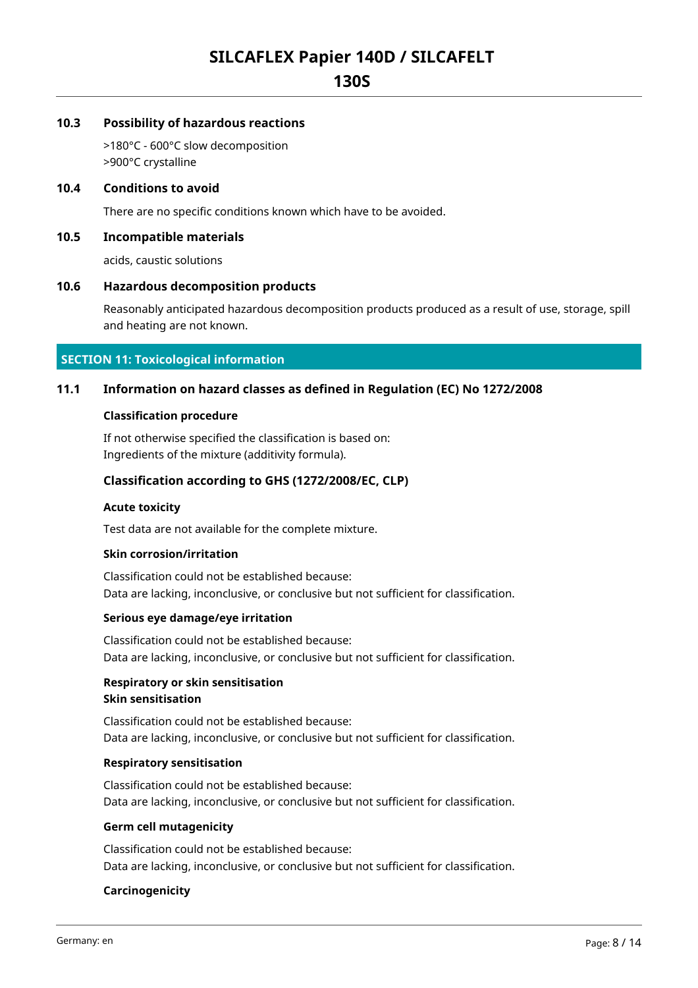**130S**

#### **10.3 Possibility of hazardous reactions**

>180°C - 600°C slow decomposition >900°C crystalline

#### **10.4 Conditions to avoid**

There are no specific conditions known which have to be avoided.

#### **10.5 Incompatible materials**

acids, caustic solutions

#### **10.6 Hazardous decomposition products**

Reasonably anticipated hazardous decomposition products produced as a result of use, storage, spill and heating are not known.

#### **SECTION 11: Toxicological information**

#### **11.1 Information on hazard classes as defined in Regulation (EC) No 1272/2008**

#### **Classification procedure**

If not otherwise specified the classification is based on: Ingredients of the mixture (additivity formula).

#### **Classification according to GHS (1272/2008/EC, CLP)**

#### **Acute toxicity**

Test data are not available for the complete mixture.

#### **Skin corrosion/irritation**

Classification could not be established because: Data are lacking, inconclusive, or conclusive but not sufficient for classification.

#### **Serious eye damage/eye irritation**

Classification could not be established because: Data are lacking, inconclusive, or conclusive but not sufficient for classification.

#### **Respiratory or skin sensitisation Skin sensitisation**

Classification could not be established because: Data are lacking, inconclusive, or conclusive but not sufficient for classification.

#### **Respiratory sensitisation**

Classification could not be established because: Data are lacking, inconclusive, or conclusive but not sufficient for classification.

#### **Germ cell mutagenicity**

Classification could not be established because: Data are lacking, inconclusive, or conclusive but not sufficient for classification.

#### **Carcinogenicity**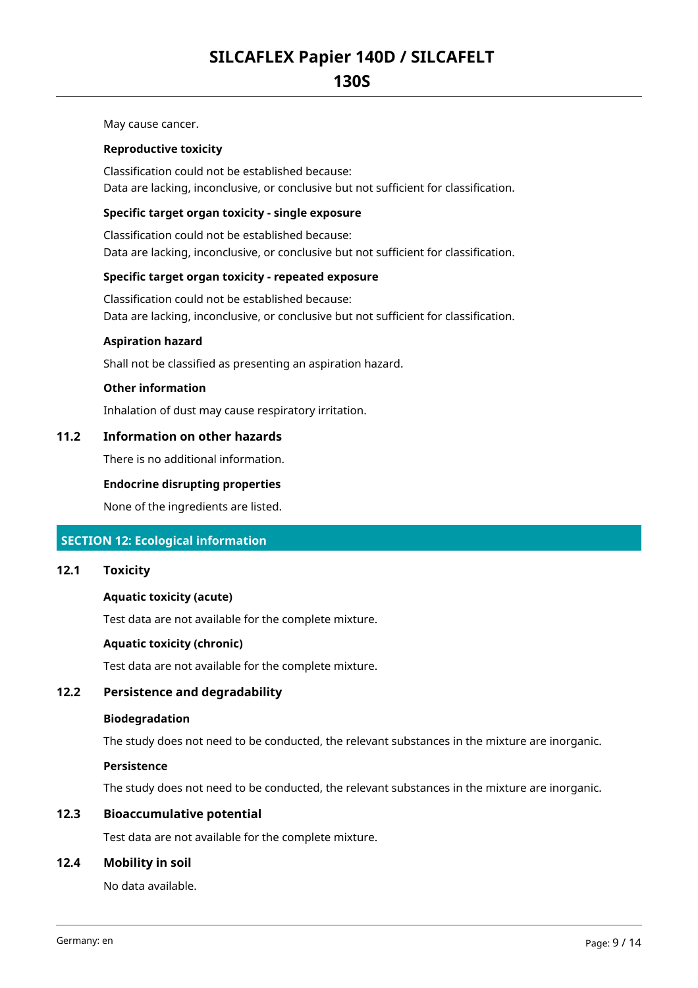May cause cancer.

#### **Reproductive toxicity**

Classification could not be established because: Data are lacking, inconclusive, or conclusive but not sufficient for classification.

#### **Specific target organ toxicity - single exposure**

Classification could not be established because: Data are lacking, inconclusive, or conclusive but not sufficient for classification.

#### **Specific target organ toxicity - repeated exposure**

Classification could not be established because: Data are lacking, inconclusive, or conclusive but not sufficient for classification.

#### **Aspiration hazard**

Shall not be classified as presenting an aspiration hazard.

#### **Other information**

Inhalation of dust may cause respiratory irritation.

#### **11.2 Information on other hazards**

There is no additional information.

#### **Endocrine disrupting properties**

None of the ingredients are listed.

#### **SECTION 12: Ecological information**

#### **12.1 Toxicity**

#### **Aquatic toxicity (acute)**

Test data are not available for the complete mixture.

#### **Aquatic toxicity (chronic)**

Test data are not available for the complete mixture.

#### **12.2 Persistence and degradability**

#### **Biodegradation**

The study does not need to be conducted, the relevant substances in the mixture are inorganic.

#### **Persistence**

The study does not need to be conducted, the relevant substances in the mixture are inorganic.

#### **12.3 Bioaccumulative potential**

Test data are not available for the complete mixture.

#### **12.4 Mobility in soil**

No data available.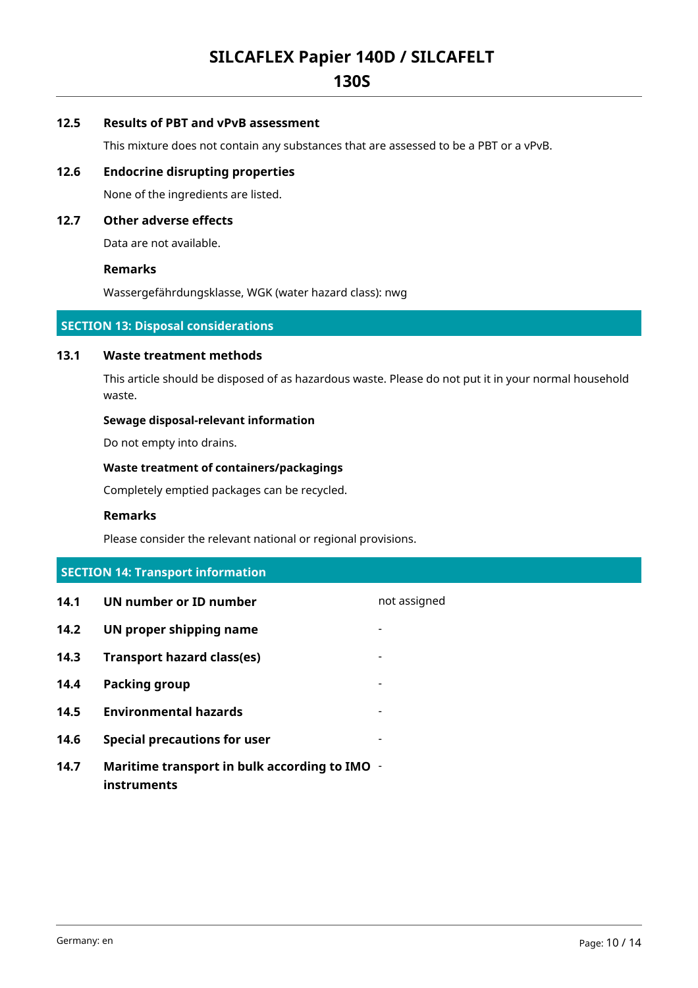# **130S**

#### **12.5 Results of PBT and vPvB assessment**

This mixture does not contain any substances that are assessed to be a PBT or a vPvB.

#### **12.6 Endocrine disrupting properties**

None of the ingredients are listed.

#### **12.7 Other adverse effects**

Data are not available.

#### **Remarks**

Wassergefährdungsklasse, WGK (water hazard class): nwg

#### **SECTION 13: Disposal considerations**

#### **13.1 Waste treatment methods**

This article should be disposed of as hazardous waste. Please do not put it in your normal household waste.

#### **Sewage disposal-relevant information**

Do not empty into drains.

#### **Waste treatment of containers/packagings**

Completely emptied packages can be recycled.

#### **Remarks**

Please consider the relevant national or regional provisions.

# **SECTION 14: Transport information**

| 14.1 | UN number or ID number                                       | not assigned |
|------|--------------------------------------------------------------|--------------|
| 14.2 | UN proper shipping name                                      |              |
| 14.3 | <b>Transport hazard class(es)</b>                            |              |
| 14.4 | Packing group                                                |              |
| 14.5 | <b>Environmental hazards</b>                                 |              |
| 14.6 | <b>Special precautions for user</b>                          |              |
| 14.7 | Maritime transport in bulk according to IMO -<br>instruments |              |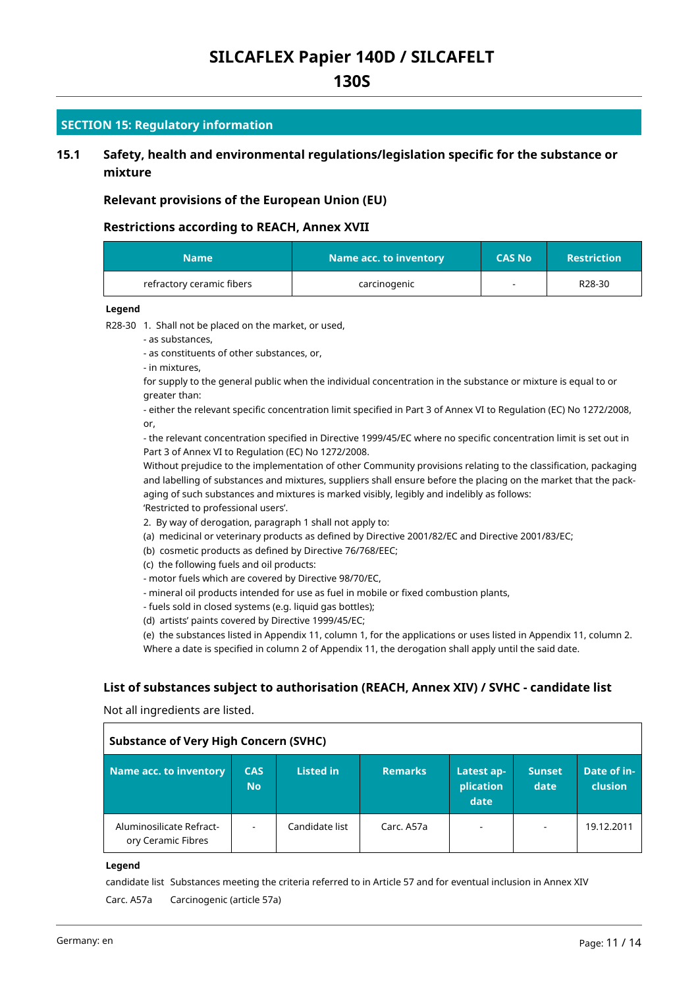# **130S**

#### **SECTION 15: Regulatory information**

### **15.1 Safety, health and environmental regulations/legislation specific for the substance or mixture**

#### **Relevant provisions of the European Union (EU)**

#### **Restrictions according to REACH, Annex XVII**

| <b>Name</b>               | Name acc. to inventory |  | <b>Restriction</b> |
|---------------------------|------------------------|--|--------------------|
| refractory ceramic fibers | carcinogenic           |  | R28-30             |

#### **Legend**

R28-30 1. Shall not be placed on the market, or used,

- as substances,

- as constituents of other substances, or,

- in mixtures,

for supply to the general public when the individual concentration in the substance or mixture is equal to or greater than:

- either the relevant specific concentration limit specified in Part 3 of Annex VI to Regulation (EC) No 1272/2008, or,

- the relevant concentration specified in Directive 1999/45/EC where no specific concentration limit is set out in Part 3 of Annex VI to Regulation (EC) No 1272/2008.

Without prejudice to the implementation of other Community provisions relating to the classification, packaging and labelling of substances and mixtures, suppliers shall ensure before the placing on the market that the packaging of such substances and mixtures is marked visibly, legibly and indelibly as follows: 'Restricted to professional users'.

2. By way of derogation, paragraph 1 shall not apply to:

(a) medicinal or veterinary products as defined by Directive 2001/82/EC and Directive 2001/83/EC;

(b) cosmetic products as defined by Directive 76/768/EEC;

(c) the following fuels and oil products:

- motor fuels which are covered by Directive 98/70/EC,

- mineral oil products intended for use as fuel in mobile or fixed combustion plants,
- fuels sold in closed systems (e.g. liquid gas bottles);
- (d) artists' paints covered by Directive 1999/45/EC;

(e) the substances listed in Appendix 11, column 1, for the applications or uses listed in Appendix 11, column 2. Where a date is specified in column 2 of Appendix 11, the derogation shall apply until the said date.

#### **List of substances subject to authorisation (REACH, Annex XIV) / SVHC - candidate list**

Not all ingredients are listed.

| <b>Substance of Very High Concern (SVHC)</b>   |                          |                  |                |                                 |                          |                        |  |  |
|------------------------------------------------|--------------------------|------------------|----------------|---------------------------------|--------------------------|------------------------|--|--|
| Name acc. to inventory                         | <b>CAS</b><br><b>No</b>  | <b>Listed in</b> | <b>Remarks</b> | Latest ap-<br>plication<br>date | <b>Sunset</b><br>date    | Date of in-<br>clusion |  |  |
| Aluminosilicate Refract-<br>ory Ceramic Fibres | $\overline{\phantom{a}}$ | Candidate list   | Carc. A57a     | $\overline{\phantom{a}}$        | $\overline{\phantom{a}}$ | 19.12.2011             |  |  |

**Legend**

candidate list Substances meeting the criteria referred to in Article 57 and for eventual inclusion in Annex XIV Carc. A57a Carcinogenic (article 57a)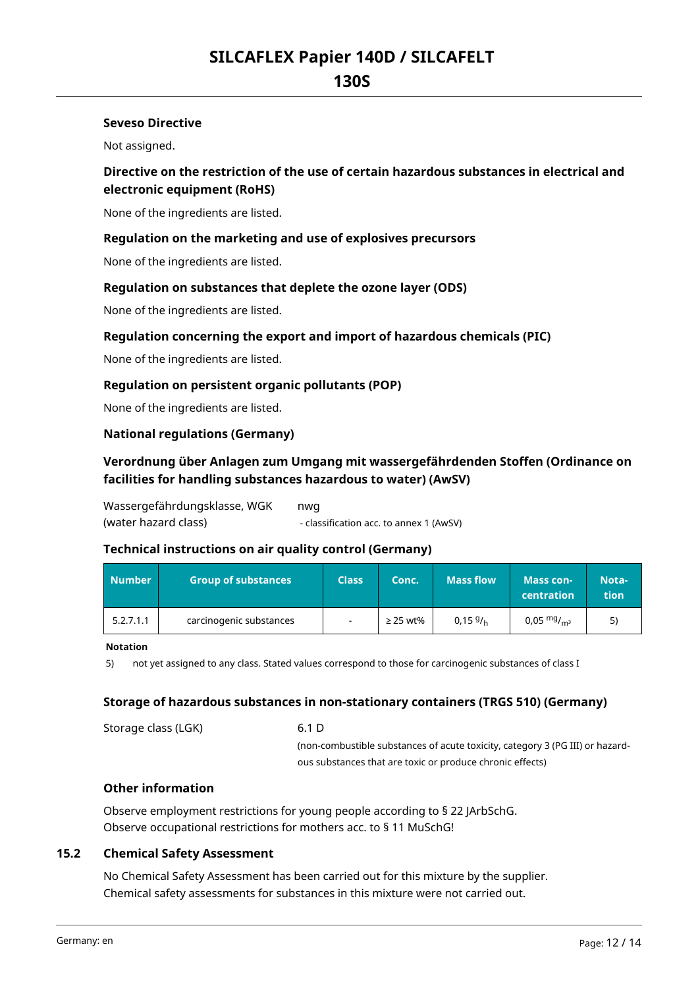### **130S**

#### **Seveso Directive**

Not assigned.

### **Directive on the restriction of the use of certain hazardous substances in electrical and electronic equipment (RoHS)**

None of the ingredients are listed.

#### **Regulation on the marketing and use of explosives precursors**

None of the ingredients are listed.

#### **Regulation on substances that deplete the ozone layer (ODS)**

None of the ingredients are listed.

#### **Regulation concerning the export and import of hazardous chemicals (PIC)**

None of the ingredients are listed.

#### **Regulation on persistent organic pollutants (POP)**

None of the ingredients are listed.

#### **National regulations (Germany)**

### **Verordnung über Anlagen zum Umgang mit wassergefährdenden Stoffen (Ordinance on facilities for handling substances hazardous to water) (AwSV)**

Wassergefährdungsklasse, WGK (water hazard class) nwg - classification acc. to annex 1 (AwSV)

#### **Technical instructions on air quality control (Germany)**

| <b>Number</b> | Group of substances     | <b>Class</b>             | Conc.         | <b>Mass flow</b> | <b>Mass con-</b><br><b>centration</b> | Nota-<br>tion |
|---------------|-------------------------|--------------------------|---------------|------------------|---------------------------------------|---------------|
| 5.2.7.1.1     | carcinogenic substances | $\overline{\phantom{a}}$ | $\geq$ 25 wt% | 0.159%           | 0,05 $mg/m3$                          |               |

#### **Notation**

5) not yet assigned to any class. Stated values correspond to those for carcinogenic substances of class I

#### **Storage of hazardous substances in non-stationary containers (TRGS 510) (Germany)**

| Storage class (LGK) | 6.1 D                                                                         |
|---------------------|-------------------------------------------------------------------------------|
|                     | (non-combustible substances of acute toxicity, category 3 (PG III) or hazard- |
|                     | ous substances that are toxic or produce chronic effects)                     |

#### **Other information**

Observe employment restrictions for young people according to § 22 JArbSchG. Observe occupational restrictions for mothers acc. to § 11 MuSchG!

#### **15.2 Chemical Safety Assessment**

No Chemical Safety Assessment has been carried out for this mixture by the supplier. Chemical safety assessments for substances in this mixture were not carried out.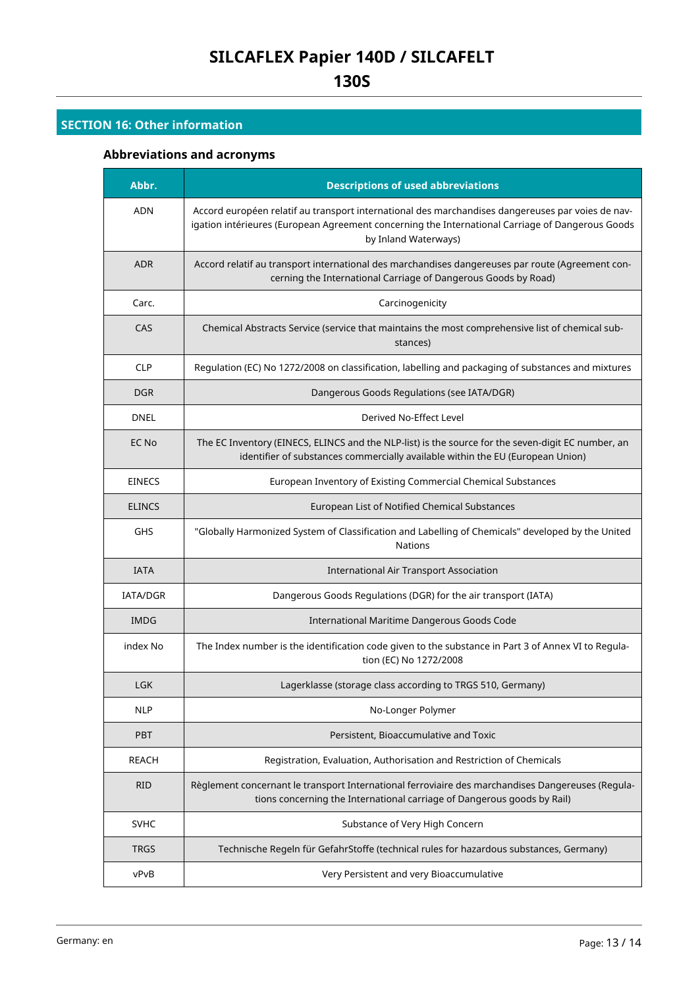# **SECTION 16: Other information**

# **Abbreviations and acronyms**

| Abbr.         | <b>Descriptions of used abbreviations</b>                                                                                                                                                                                     |  |
|---------------|-------------------------------------------------------------------------------------------------------------------------------------------------------------------------------------------------------------------------------|--|
| <b>ADN</b>    | Accord européen relatif au transport international des marchandises dangereuses par voies de nav-<br>igation intérieures (European Agreement concerning the International Carriage of Dangerous Goods<br>by Inland Waterways) |  |
| <b>ADR</b>    | Accord relatif au transport international des marchandises dangereuses par route (Agreement con-<br>cerning the International Carriage of Dangerous Goods by Road)                                                            |  |
| Carc.         | Carcinogenicity                                                                                                                                                                                                               |  |
| CAS           | Chemical Abstracts Service (service that maintains the most comprehensive list of chemical sub-<br>stances)                                                                                                                   |  |
| <b>CLP</b>    | Regulation (EC) No 1272/2008 on classification, labelling and packaging of substances and mixtures                                                                                                                            |  |
| <b>DGR</b>    | Dangerous Goods Regulations (see IATA/DGR)                                                                                                                                                                                    |  |
| <b>DNEL</b>   | Derived No-Effect Level                                                                                                                                                                                                       |  |
| EC No         | The EC Inventory (EINECS, ELINCS and the NLP-list) is the source for the seven-digit EC number, an<br>identifier of substances commercially available within the EU (European Union)                                          |  |
| <b>EINECS</b> | European Inventory of Existing Commercial Chemical Substances                                                                                                                                                                 |  |
| <b>ELINCS</b> | European List of Notified Chemical Substances                                                                                                                                                                                 |  |
| GHS           | "Globally Harmonized System of Classification and Labelling of Chemicals" developed by the United<br><b>Nations</b>                                                                                                           |  |
| <b>IATA</b>   | <b>International Air Transport Association</b>                                                                                                                                                                                |  |
| IATA/DGR      | Dangerous Goods Regulations (DGR) for the air transport (IATA)                                                                                                                                                                |  |
| <b>IMDG</b>   | International Maritime Dangerous Goods Code                                                                                                                                                                                   |  |
| index No      | The Index number is the identification code given to the substance in Part 3 of Annex VI to Regula-<br>tion (EC) No 1272/2008                                                                                                 |  |
| <b>LGK</b>    | Lagerklasse (storage class according to TRGS 510, Germany)                                                                                                                                                                    |  |
| <b>NLP</b>    | No-Longer Polymer                                                                                                                                                                                                             |  |
| <b>PBT</b>    | Persistent, Bioaccumulative and Toxic                                                                                                                                                                                         |  |
| REACH         | Registration, Evaluation, Authorisation and Restriction of Chemicals                                                                                                                                                          |  |
| <b>RID</b>    | Règlement concernant le transport International ferroviaire des marchandises Dangereuses (Regula-<br>tions concerning the International carriage of Dangerous goods by Rail)                                                  |  |
| <b>SVHC</b>   | Substance of Very High Concern                                                                                                                                                                                                |  |
| <b>TRGS</b>   | Technische Regeln für GefahrStoffe (technical rules for hazardous substances, Germany)                                                                                                                                        |  |
| vPvB          | Very Persistent and very Bioaccumulative                                                                                                                                                                                      |  |